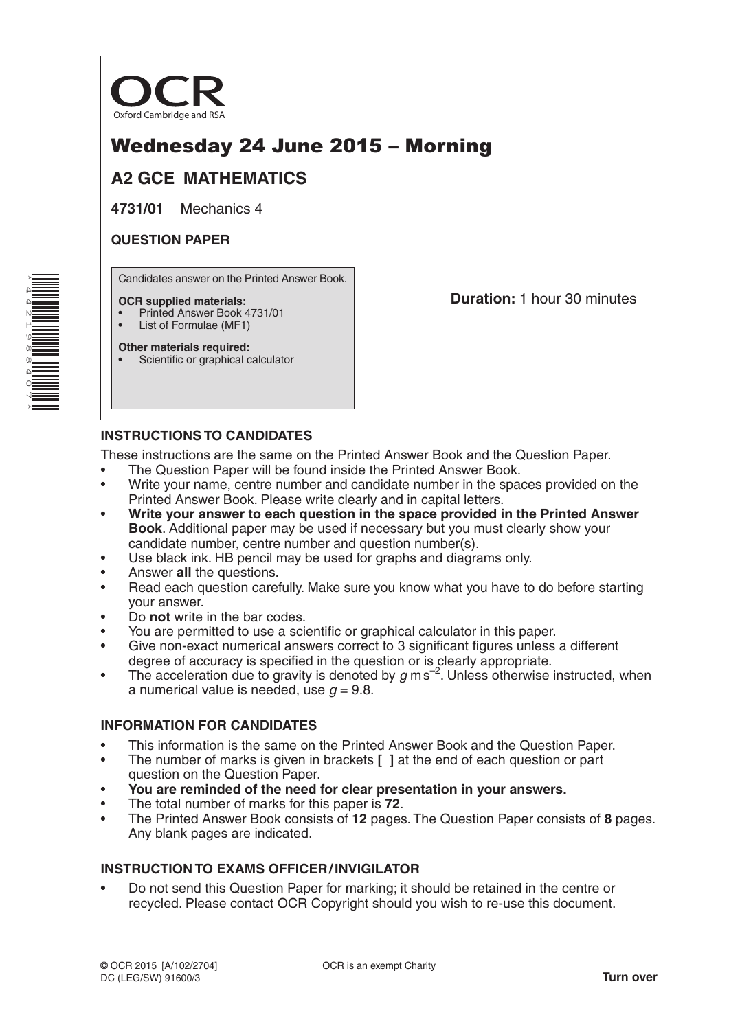

# Wednesday 24 June 2015 – Morning

## **A2 GCE MATHEMATICS**

**4731/01** Mechanics 4

### **QUESTION PAPER**

Candidates answer on the Printed Answer Book.

#### **OCR supplied materials:**

- Printed Answer Book 4731/01
- List of Formulae (MF1)

**Duration:** 1 hour 30 minutes

#### **Other materials required:** Scientific or graphical calculator

### **INSTRUCTIONS TO CANDIDATES**

These instructions are the same on the Printed Answer Book and the Question Paper.

- The Question Paper will be found inside the Printed Answer Book.
- Write your name, centre number and candidate number in the spaces provided on the Printed Answer Book. Please write clearly and in capital letters.
- **Write your answer to each question in the space provided in the Printed Answer Book**. Additional paper may be used if necessary but you must clearly show your candidate number, centre number and question number(s).
- Use black ink. HB pencil may be used for graphs and diagrams only.
- Answer **all** the questions.
- Read each question carefully. Make sure you know what you have to do before starting your answer.
- Do **not** write in the bar codes.
- You are permitted to use a scientific or graphical calculator in this paper.
- Give non-exact numerical answers correct to 3 significant figures unless a different degree of accuracy is specified in the question or is clearly appropriate.
- The acceleration due to gravity is denoted by  $g \text{ m s}^{-2}$ . Unless otherwise instructed, when a numerical value is needed, use  $q = 9.8$ .

### **INFORMATION FOR CANDIDATES**

- This information is the same on the Printed Answer Book and the Question Paper.
- The number of marks is given in brackets **[ ]** at the end of each question or part question on the Question Paper.
- **You are reminded of the need for clear presentation in your answers.**
- The total number of marks for this paper is **72**.
- The Printed Answer Book consists of **12** pages. The Question Paper consists of **8** pages. Any blank pages are indicated.

### **INSTRUCTION TO EXAMS OFFICER/INVIGILATOR**

• Do not send this Question Paper for marking; it should be retained in the centre or recycled. Please contact OCR Copyright should you wish to re-use this document.

\*4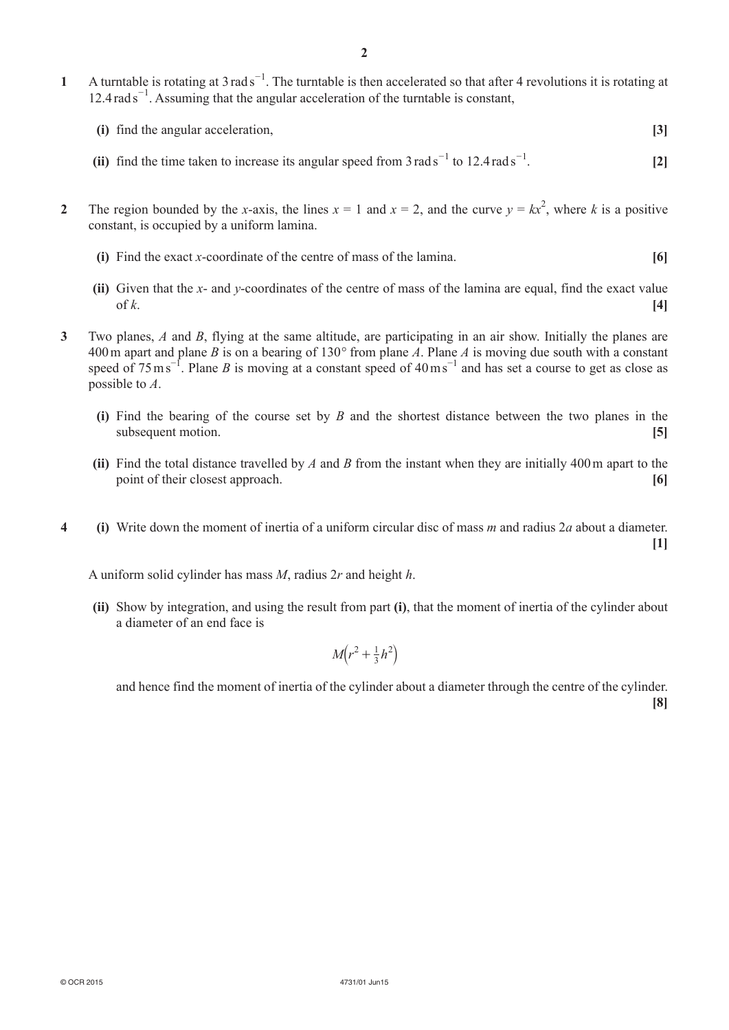- **1**  A turntable is rotating at 3 rad s *−*1 . The turntable is then accelerated so that after 4 revolutions it is rotating at 12.4 rad s<sup>-1</sup>. Assuming that the angular acceleration of the turntable is constant,
	- **(i)** find the angular acceleration, **[3]**
- (ii) find the time taken to increase its angular speed from  $3 \text{ rad s}^{-1}$  to 12.4rads<sup>-1</sup> . **[2]**
- **2** The region bounded by the *x*-axis, the lines  $x = 1$  and  $x = 2$ , and the curve  $y = kx^2$ , where *k* is a positive constant, is occupied by a uniform lamina.
	- **(i)** Find the exact *x*-coordinate of the centre of mass of the lamina. **[6]**
	- **(ii)** Given that the *x* and *y*-coordinates of the centre of mass of the lamina are equal, find the exact value of *k*. **[4]**
- **3**  Two planes, *A* and *B*, flying at the same altitude, are participating in an air show. Initially the planes are 400m apart and plane *B* is on a bearing of 130*°* from plane *A*. Plane *A* is moving due south with a constant speed of  $75 \text{ ms}^{-1}$ . Plane *B* is moving at a constant speed of  $40 \text{ ms}^{-1}$  and has set a course to get as close as possible to *A*.
	- **(i)** Find the bearing of the course set by *B* and the shortest distance between the two planes in the subsequent motion. **[5]**
	- **(ii)** Find the total distance travelled by *A* and *B* from the instant when they are initially 400m apart to the point of their closest approach. **[6]**
- **4** (i) Write down the moment of inertia of a uniform circular disc of mass *m* and radius 2*a* about a diameter. **[1]**

A uniform solid cylinder has mass *M*, radius 2*r* and height *ℎ*.

**(ii)** Show by integration, and using the result from part **(i)**, that the moment of inertia of the cylinder about a diameter of an end face is

$$
M(r^2 + \frac{1}{3}h^2)
$$

and hence find the moment of inertia of the cylinder about a diameter through the centre of the cylinder. **[8]**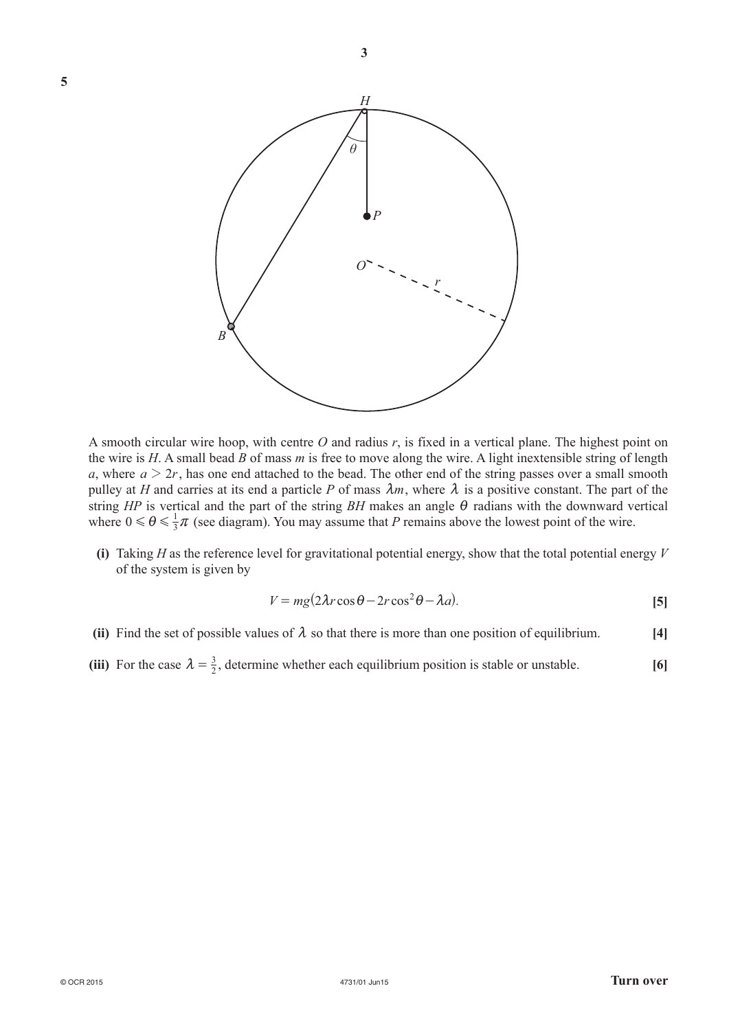**5**



A smooth circular wire hoop, with centre *O* and radius *r*, is fixed in a vertical plane. The highest point on the wire is *H*. A small bead *B* of mass *m* is free to move along the wire. A light inextensible string of length *a*, where  $a > 2r$ , has one end attached to the bead. The other end of the string passes over a small smooth pulley at *H* and carries at its end a particle *P* of mass  $\lambda$ *m*, where  $\lambda$  is a positive constant. The part of the string *HP* is vertical and the part of the string *BH* makes an angle  $\theta$  radians with the downward vertical where  $0 \le \theta \le \frac{1}{3}\pi$  (see diagram). You may assume that *P* remains above the lowest point of the wire.

**(i)** Taking *H* as the reference level for gravitational potential energy, show that the total potential energy *V* of the system is given by

$$
V = mg(2\lambda r \cos \theta - 2r \cos^2 \theta - \lambda a). \tag{5}
$$

- **(ii)** Find the set of possible values of  $\lambda$  so that there is more than one position of equilibrium. [4]
- (iii) For the case  $\lambda = \frac{3}{2}$ , determine whether each equilibrium position is stable or unstable. **[6]**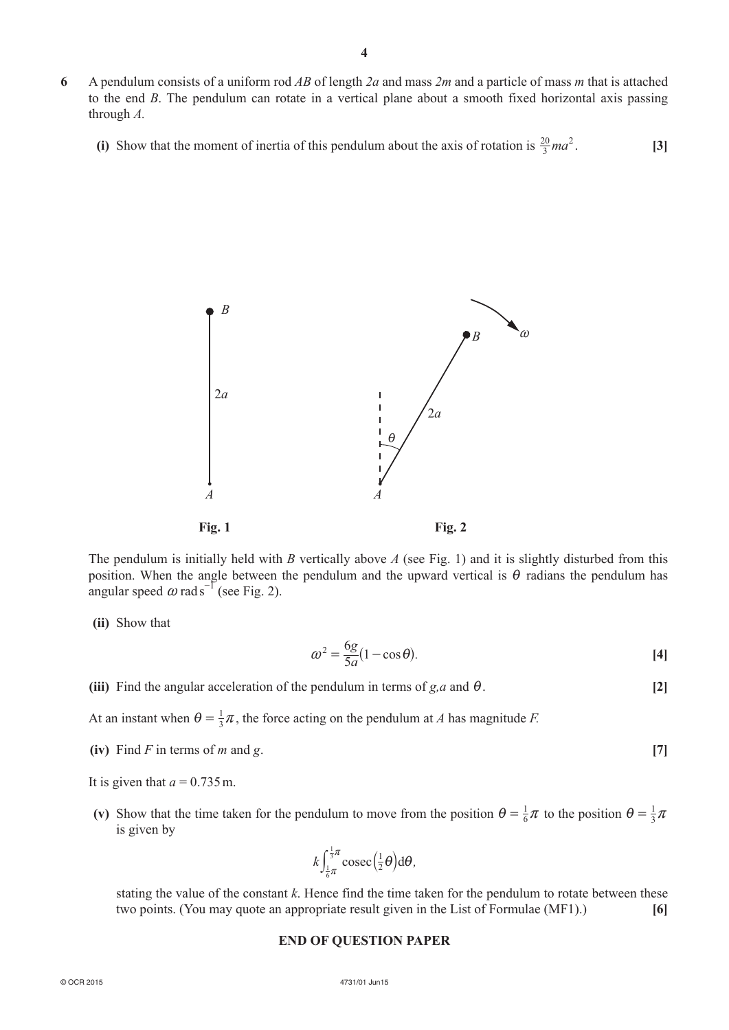- **6**  A pendulum consists of a uniform rod *AB* of length *2a* and mass *2m* and a particle of mass *m* that is attached to the end *B*. The pendulum can rotate in a vertical plane about a smooth fixed horizontal axis passing through *A.*
- (i) Show that the moment of inertia of this pendulum about the axis of rotation is  $\frac{20}{3}$  ma<sup>2</sup> . **[3]**



The pendulum is initially held with *B* vertically above *A* (see Fig. 1) and it is slightly disturbed from this position. When the angle between the pendulum and the upward vertical is  $\theta$  radians the pendulum has angular speed  $\omega$  rads<sup>-1</sup> (see Fig. 2).

 **(ii)**  Show that

$$
\omega^2 = \frac{6g}{5a}(1 - \cos\theta). \tag{4}
$$

**(iii)** Find the angular acceleration of the pendulum in terms of *g,a* and  $\theta$ . [2]

At an instant when  $\theta = \frac{1}{3}\pi$ , the force acting on the pendulum at *A* has magnitude *F*.

 $\left( \text{iv} \right)$  Find *F* in terms of *m* and *g*.  $\left[ 7 \right]$ 

It is given that  $a = 0.735$  m.

(v) Show that the time taken for the pendulum to move from the position  $\theta = \frac{1}{6}\pi$  to the position  $\theta = \frac{1}{3}\pi$ is given by

$$
k \int_{\frac{1}{6}\pi}^{\frac{1}{3}\pi} \csc\left(\frac{1}{2}\theta\right) d\theta,
$$

stating the value of the constant  $k$ . Hence find the time taken for the pendulum to rotate between these two points. (You may quote an appropriate result given in the List of Formulae (MF1).) **[6]**

#### **END OF QUESTION PAPER**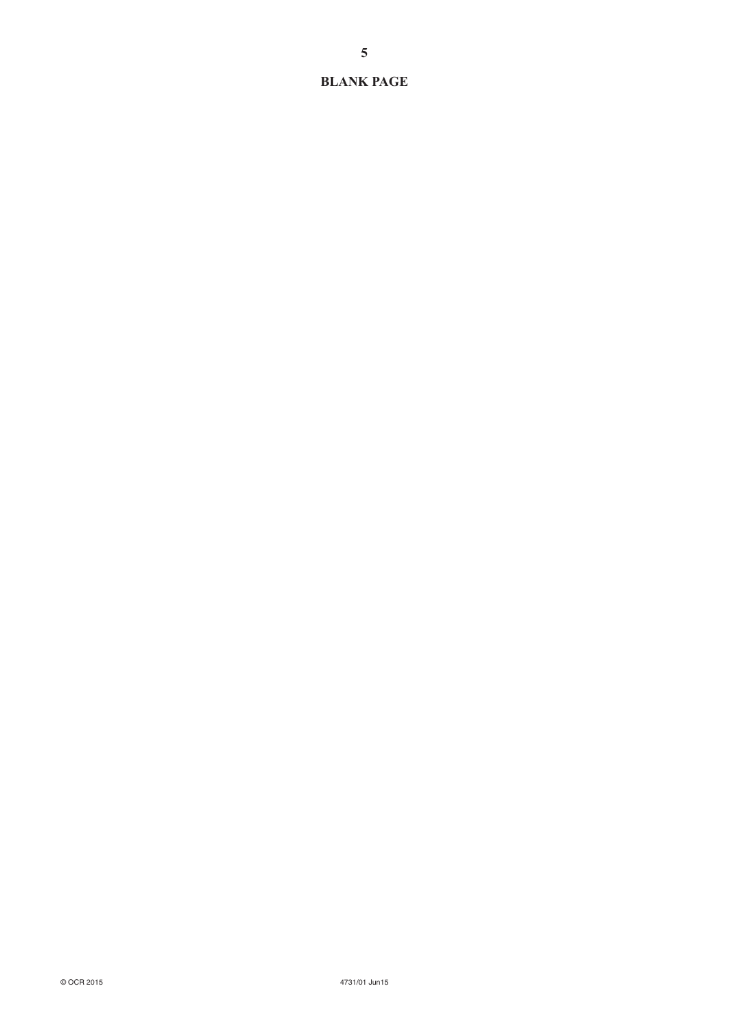#### **BLANK PAGE**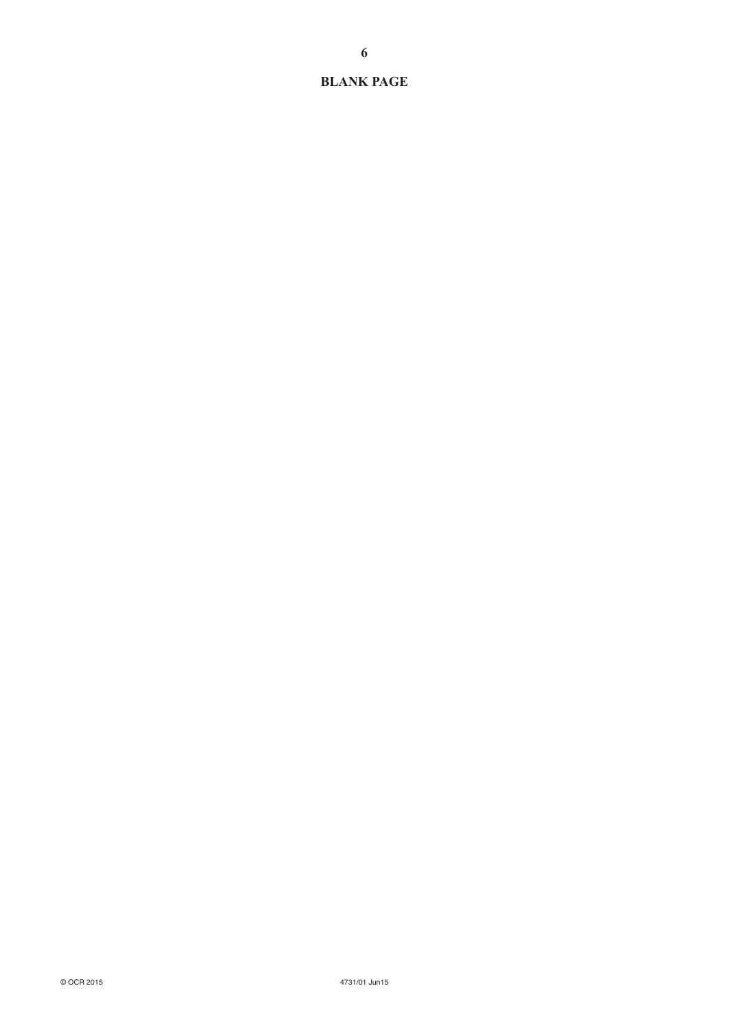#### **BLANK PAGE**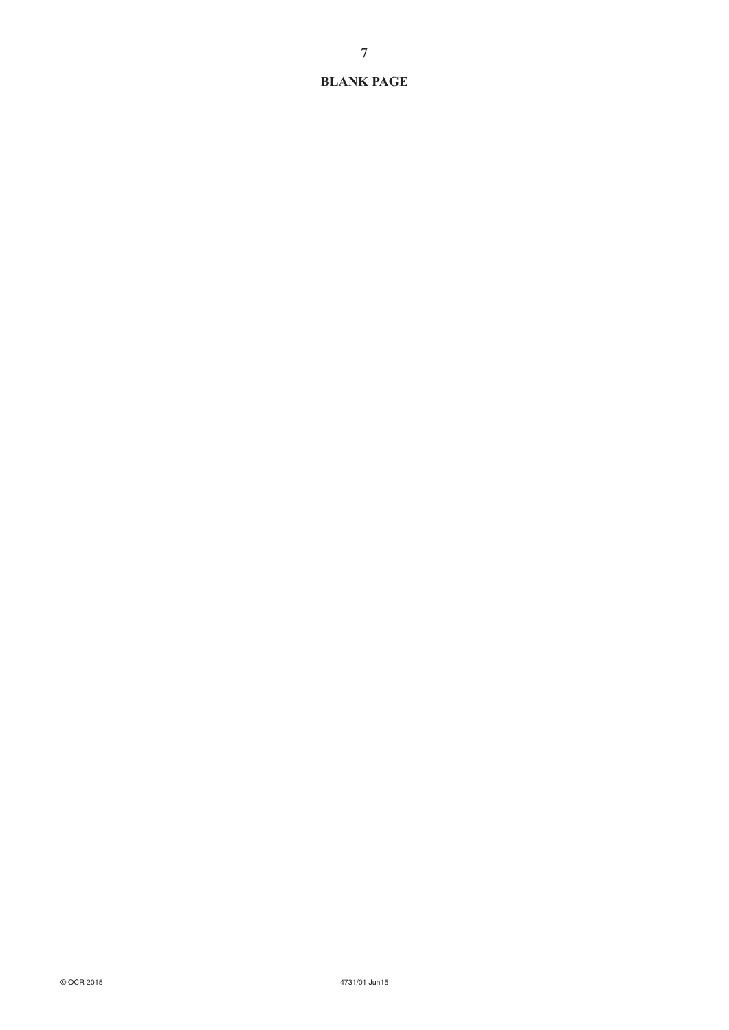#### **BLANK PAGE**